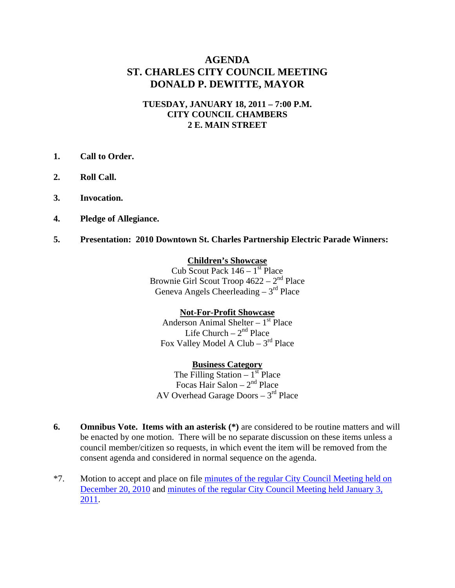# **AGENDA ST. CHARLES CITY COUNCIL MEETING DONALD P. DEWITTE, MAYOR**

#### **TUESDAY, JANUARY 18, 2011 – 7:00 P.M. CITY COUNCIL CHAMBERS 2 E. MAIN STREET**

- **1. Call to Order.**
- **2. Roll Call.**
- **3. Invocation.**
- **4. Pledge of Allegiance.**
- **5. Presentation: 2010 Downtown St. Charles Partnership Electric Parade Winners:**

#### **Children's Showcase**

Cub Scout Pack  $146 - 1$ <sup>st</sup> Place Brownie Girl Scout Troop  $4622 - 2<sup>nd</sup>$  Place Geneva Angels Cheerleading  $-3<sup>rd</sup>$  Place

#### **Not-For-Profit Showcase**

Anderson Animal Shelter –  $1<sup>st</sup>$  Place Life Church  $-2<sup>nd</sup>$  Place Fox Valley Model A Club –  $3<sup>rd</sup>$  Place

**Business Category** The Filling Station  $-1<sup>st</sup>$  Place

Focas Hair Salon –  $2<sup>nd</sup>$  Place AV Overhead Garage Doors  $-3<sup>rd</sup>$  Place

- **6.** Omnibus Vote. Items with an asterisk  $(*)$  are considered to be routine matters and will be enacted by one motion. There will be no separate discussion on these items unless a council member/citizen so requests, in which event the item will be removed from the consent agenda and considered in normal sequence on the agenda.
- \*7. Motion to accept and place on file [minutes of the regular City Council Meeting held on](http://stcharlesil.gov/meetings/2011/attachments/a01-18-11-cc-m12-20-10-cc.pdf)  [December 20, 2010](http://stcharlesil.gov/meetings/2011/attachments/a01-18-11-cc-m12-20-10-cc.pdf) and [minutes of the regular City Council Meeting held January 3,](http://stcharlesil.gov/meetings/2011/attachments/a01-18-11-cc-m01-03-11-cc.pdf)  [2011](http://stcharlesil.gov/meetings/2011/attachments/a01-18-11-cc-m01-03-11-cc.pdf).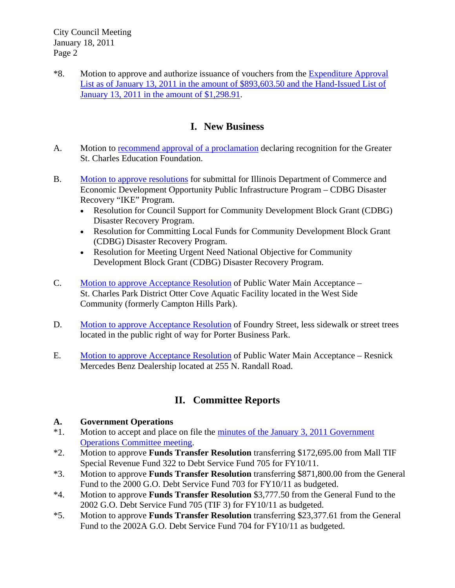\*8. Motion to approve and authorize issuance of vouchers from the [Expenditure Approval](http://stcharlesil.gov/meetings/2011/attachments/a01-18-11-cc-EXPEND.pdf)  [List as of January 13, 2011 in the amount of \\$893,603.50 and the Hand-Issued List of](http://stcharlesil.gov/meetings/2011/attachments/a01-18-11-cc-EXPEND.pdf)  [January 13, 2011 in the amount of \\$1,298.91](http://stcharlesil.gov/meetings/2011/attachments/a01-18-11-cc-EXPEND.pdf).

# **I. New Business**

- A. Motion to [recommend approval of a proclamation](http://stcharlesil.gov/meetings/2011/attachments/a01-18-11-cc-IA.pdf) declaring recognition for the Greater St. Charles Education Foundation.
- B. [Motion to approve resolutions](http://stcharlesil.gov/meetings/2011/attachments/a01-18-11-cc-IB.pdf) for submittal for Illinois Department of Commerce and Economic Development Opportunity Public Infrastructure Program – CDBG Disaster Recovery "IKE" Program.
	- Resolution for Council Support for Community Development Block Grant (CDBG) Disaster Recovery Program.
	- Resolution for Committing Local Funds for Community Development Block Grant (CDBG) Disaster Recovery Program.
	- Resolution for Meeting Urgent Need National Objective for Community Development Block Grant (CDBG) Disaster Recovery Program.
- C. [Motion to approve Acceptance Resolution](http://stcharlesil.gov/meetings/2011/attachments/a01-18-11-cc-IC.pdf) of Public Water Main Acceptance St. Charles Park District Otter Cove Aquatic Facility located in the West Side Community (formerly Campton Hills Park).
- D. [Motion to approve Acceptance Resolution](http://stcharlesil.gov/meetings/2011/attachments/a01-18-11-cc-ID.pdf) of Foundry Street, less sidewalk or street trees located in the public right of way for Porter Business Park.
- E. [Motion to approve Acceptance Resolution](http://stcharlesil.gov/meetings/2011/attachments/a01-18-11-cc-IE.pdf) of Public Water Main Acceptance Resnick Mercedes Benz Dealership located at 255 N. Randall Road.

# **II. Committee Reports**

## **A. Government Operations**

- \*1. Motion to accept and place on file the [minutes of the January 3, 2011 Government](http://stcharlesil.gov/meetings/2011/attachments/a01-18-11-cc-IIA1.pdf)  [Operations Committee meeting.](http://stcharlesil.gov/meetings/2011/attachments/a01-18-11-cc-IIA1.pdf)
- \*2. Motion to approve **Funds Transfer Resolution** transferring \$172,695.00 from Mall TIF Special Revenue Fund 322 to Debt Service Fund 705 for FY10/11.
- \*3. Motion to approve **Funds Transfer Resolution** transferring \$871,800.00 from the General Fund to the 2000 G.O. Debt Service Fund 703 for FY10/11 as budgeted.
- \*4. Motion to approve **Funds Transfer Resolution** \$3,777.50 from the General Fund to the 2002 G.O. Debt Service Fund 705 (TIF 3) for FY10/11 as budgeted.
- \*5. Motion to approve **Funds Transfer Resolution** transferring \$23,377.61 from the General Fund to the 2002A G.O. Debt Service Fund 704 for FY10/11 as budgeted.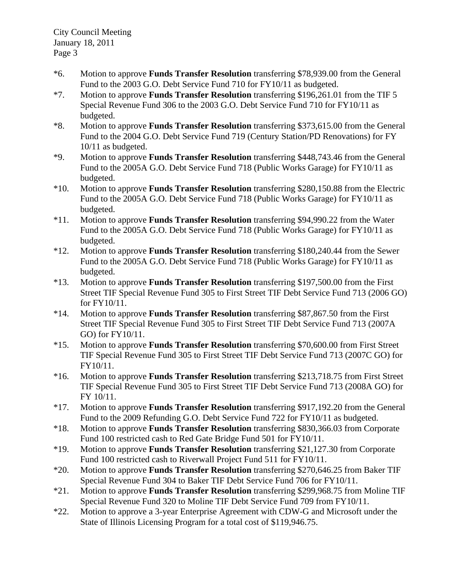City Council Meeting January 18, 2011 Page 3

- \*6. Motion to approve **Funds Transfer Resolution** transferring \$78,939.00 from the General Fund to the 2003 G.O. Debt Service Fund 710 for FY10/11 as budgeted.
- \*7. Motion to approve **Funds Transfer Resolution** transferring \$196,261.01 from the TIF 5 Special Revenue Fund 306 to the 2003 G.O. Debt Service Fund 710 for FY10/11 as budgeted.
- \*8. Motion to approve **Funds Transfer Resolution** transferring \$373,615.00 from the General Fund to the 2004 G.O. Debt Service Fund 719 (Century Station/PD Renovations) for FY 10/11 as budgeted.
- \*9. Motion to approve **Funds Transfer Resolution** transferring \$448,743.46 from the General Fund to the 2005A G.O. Debt Service Fund 718 (Public Works Garage) for FY10/11 as budgeted.
- \*10. Motion to approve **Funds Transfer Resolution** transferring \$280,150.88 from the Electric Fund to the 2005A G.O. Debt Service Fund 718 (Public Works Garage) for FY10/11 as budgeted.
- \*11. Motion to approve **Funds Transfer Resolution** transferring \$94,990.22 from the Water Fund to the 2005A G.O. Debt Service Fund 718 (Public Works Garage) for FY10/11 as budgeted.
- \*12. Motion to approve **Funds Transfer Resolution** transferring \$180,240.44 from the Sewer Fund to the 2005A G.O. Debt Service Fund 718 (Public Works Garage) for FY10/11 as budgeted.
- \*13. Motion to approve **Funds Transfer Resolution** transferring \$197,500.00 from the First Street TIF Special Revenue Fund 305 to First Street TIF Debt Service Fund 713 (2006 GO) for FY10/11.
- \*14. Motion to approve **Funds Transfer Resolution** transferring \$87,867.50 from the First Street TIF Special Revenue Fund 305 to First Street TIF Debt Service Fund 713 (2007A GO) for FY10/11.
- \*15. Motion to approve **Funds Transfer Resolution** transferring \$70,600.00 from First Street TIF Special Revenue Fund 305 to First Street TIF Debt Service Fund 713 (2007C GO) for FY10/11.
- \*16. Motion to approve **Funds Transfer Resolution** transferring \$213,718.75 from First Street TIF Special Revenue Fund 305 to First Street TIF Debt Service Fund 713 (2008A GO) for FY 10/11.
- \*17. Motion to approve **Funds Transfer Resolution** transferring \$917,192.20 from the General Fund to the 2009 Refunding G.O. Debt Service Fund 722 for FY10/11 as budgeted.
- \*18. Motion to approve **Funds Transfer Resolution** transferring \$830,366.03 from Corporate Fund 100 restricted cash to Red Gate Bridge Fund 501 for FY10/11.
- \*19. Motion to approve **Funds Transfer Resolution** transferring \$21,127.30 from Corporate Fund 100 restricted cash to Riverwall Project Fund 511 for FY10/11.
- \*20. Motion to approve **Funds Transfer Resolution** transferring \$270,646.25 from Baker TIF Special Revenue Fund 304 to Baker TIF Debt Service Fund 706 for FY10/11.
- \*21. Motion to approve **Funds Transfer Resolution** transferring \$299,968.75 from Moline TIF Special Revenue Fund 320 to Moline TIF Debt Service Fund 709 from FY10/11.
- \*22. Motion to approve a 3-year Enterprise Agreement with CDW-G and Microsoft under the State of Illinois Licensing Program for a total cost of \$119,946.75.